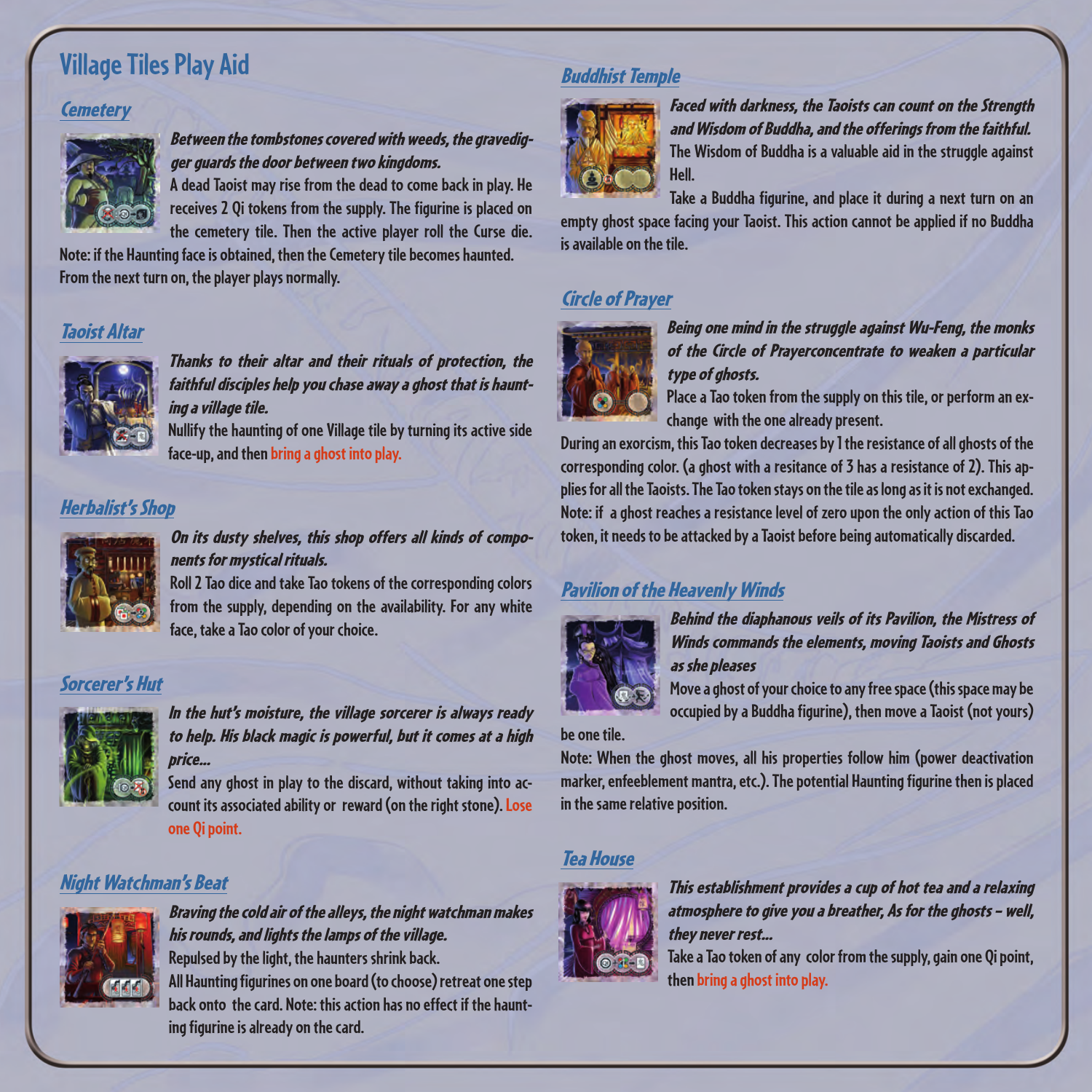# **Village Tiles Play Aid**

#### **Cemetery**



Between the tombstones covered with weeds, the gravedigger guards the door between two kingdoms.

**A dead Taoist may rise from the dead to come back in play. He receives 2 Qi tokens from the supply. The figurine is placed on the cemetery tile. Then the active player roll the Curse die.** 

**Note: if the Haunting face is obtained, then the Cemetery tile becomes haunted. From the next turn on, the player plays normally.**

#### Taoist Altar



Thanks to their altar and their rituals of protection, the faithful disciples help you chase away a ghost that is haunting a village tile.

**Nullify the haunting of one Village tile by turning its active side face-up, and then bring a ghost into play.**

#### Herbalist's Shop



On its dusty shelves, this shop offers all kinds of components for mystical rituals.

**Roll 2 Tao dice and take Tao tokens of the corresponding colors from the supply, depending on the availability. For any white face, take a Tao color of your choice.**

#### Sorcerer's Hut



In the hut's moisture, the village sorcerer is always ready to help. His black magic is powerful, but it comes at a high price...

**Send any ghost in play to the discard, without taking into account its associated ability or reward (on the right stone). Lose one Qi point.**

#### Night Watchman's Beat



Braving the cold air of the alleys, the night watchman makes his rounds, and lights the lamps of the village. **Repulsed by the light, the haunters shrink back. All Haunting figurines on one board (to choose) retreat one step back onto the card. Note: this action has no effect if the haunting figurine is already on the card.**

#### Buddhist Temple



Faced with darkness, the Taoists can count on the Strength and Wisdom of Buddha, and the offerings from the faithful. **The Wisdom of Buddha is a valuable aid in the struggle against Hell.**

**Take a Buddha figurine, and place it during a next turn on an empty ghost space facing your Taoist. This action cannot be applied if no Buddha is available on the tile.** 

### Circle of Prayer



Being one mind in the struggle against Wu-Feng, the monks of the Circle of Prayerconcentrate to weaken a particular type of ghosts.

**Place a Tao token from the supply on this tile, or perform an exchange with the one already present.**

**During an exorcism, this Tao token decreases by 1 the resistance of all ghosts of the corresponding color. (a ghost with a resitance of 3 has a resistance of 2). This applies for all the Taoists. The Tao token stays on the tile as long as it is not exchanged. Note: if a ghost reaches a resistance level of zero upon the only action of this Tao token, it needs to be attacked by a Taoist before being automatically discarded.**

### Pavilion of the Heavenly Winds



Behind the diaphanous veils of its Pavilion, the Mistress of Winds commands the elements, moving Taoists and Ghosts as she pleases

**Move a ghost of your choice to any free space (this space may be occupied by a Buddha figurine), then move a Taoist (not yours)** 

**be one tile.**

**Note: When the ghost moves, all his properties follow him (power deactivation marker, enfeeblement mantra, etc.). The potential Haunting figurine then is placed in the same relative position.** 

### Tea House



This establishment provides a cup of hot tea and a relaxing atmosphere to give you a breather, As for the ghosts – well, they never rest...

**Take a Tao token of any color from the supply,gain one Qi point, then bring a ghost into play.**